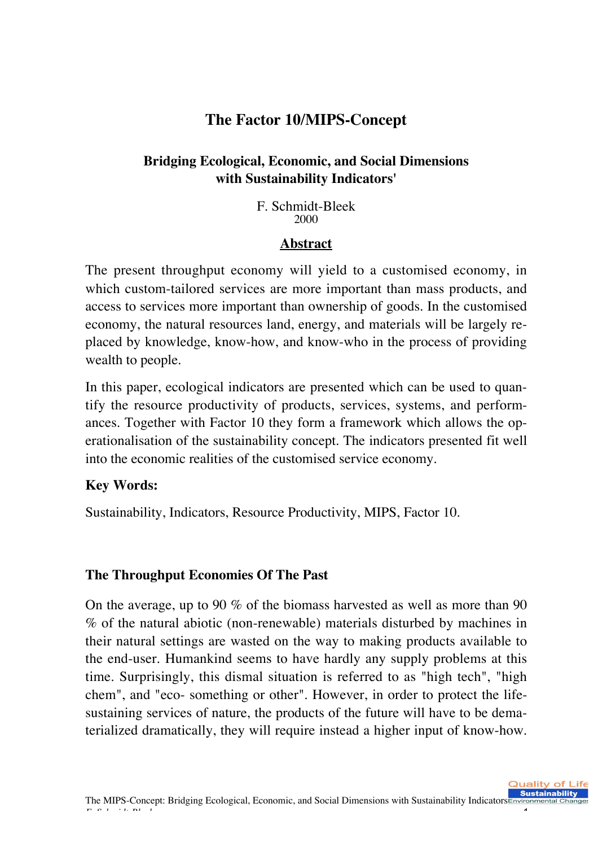# **The Factor 10/MIPS-Concept**

### **Bridging Ecological, Economic, and Social Dimensions with Sustainability Indicators'**

F. Schmidt-Bleek 2000

#### **Abstract**

The present throughput economy will yield to a customised economy, in which custom-tailored services are more important than mass products, and access to services more important than ownership of goods. In the customised economy, the natural resources land, energy, and materials will be largely replaced by knowledge, know-how, and know-who in the process of providing wealth to people.

In this paper, ecological indicators are presented which can be used to quantify the resource productivity of products, services, systems, and performances. Together with Factor 10 they form a framework which allows the operationalisation of the sustainability concept. The indicators presented fit well into the economic realities of the customised service economy.

### **Key Words:**

Sustainability, Indicators, Resource Productivity, MIPS, Factor 10.

#### **The Throughput Economies Of The Past**

On the average, up to 90 % of the biomass harvested as well as more than 90 % of the natural abiotic (non-renewable) materials disturbed by machines in their natural settings are wasted on the way to making products available to the end-user. Humankind seems to have hardly any supply problems at this time. Surprisingly, this dismal situation is referred to as "high tech", "high chem", and "eco- something or other". However, in order to protect the lifesustaining services of nature, the products of the future will have to be dematerialized dramatically, they will require instead a higher input of know-how.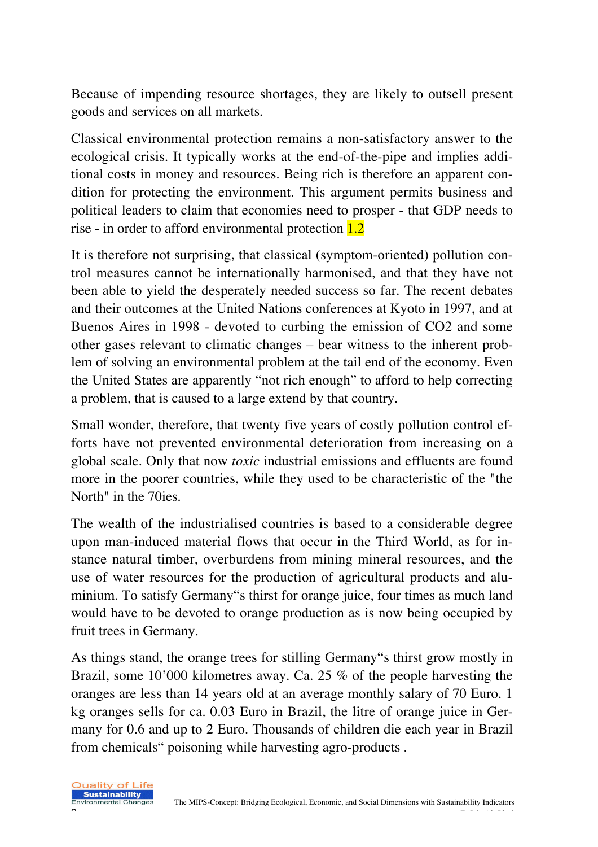Because of impending resource shortages, they are likely to outsell present goods and services on all markets.

Classical environmental protection remains a non-satisfactory answer to the ecological crisis. It typically works at the end-of-the-pipe and implies additional costs in money and resources. Being rich is therefore an apparent condition for protecting the environment. This argument permits business and political leaders to claim that economies need to prosper - that GDP needs to rise - in order to afford environmental protection  $1.2$ 

It is therefore not surprising, that classical (symptom-oriented) pollution control measures cannot be internationally harmonised, and that they have not been able to yield the desperately needed success so far. The recent debates and their outcomes at the United Nations conferences at Kyoto in 1997, and at Buenos Aires in 1998 - devoted to curbing the emission of CO2 and some other gases relevant to climatic changes – bear witness to the inherent problem of solving an environmental problem at the tail end of the economy. Even the United States are apparently "not rich enough" to afford to help correcting a problem, that is caused to a large extend by that country.

Small wonder, therefore, that twenty five years of costly pollution control efforts have not prevented environmental deterioration from increasing on a global scale. Only that now *toxic* industrial emissions and effluents are found more in the poorer countries, while they used to be characteristic of the "the North" in the 70ies.

The wealth of the industrialised countries is based to a considerable degree upon man-induced material flows that occur in the Third World, as for instance natural timber, overburdens from mining mineral resources, and the use of water resources for the production of agricultural products and aluminium. To satisfy Germany"s thirst for orange juice, four times as much land would have to be devoted to orange production as is now being occupied by fruit trees in Germany.

As things stand, the orange trees for stilling Germany"s thirst grow mostly in Brazil, some 10'000 kilometres away. Ca. 25 % of the people harvesting the oranges are less than 14 years old at an average monthly salary of 70 Euro. 1 kg oranges sells for ca. 0.03 Euro in Brazil, the litre of orange juice in Germany for 0.6 and up to 2 Euro. Thousands of children die each year in Brazil from chemicals" poisoning while harvesting agro-products .

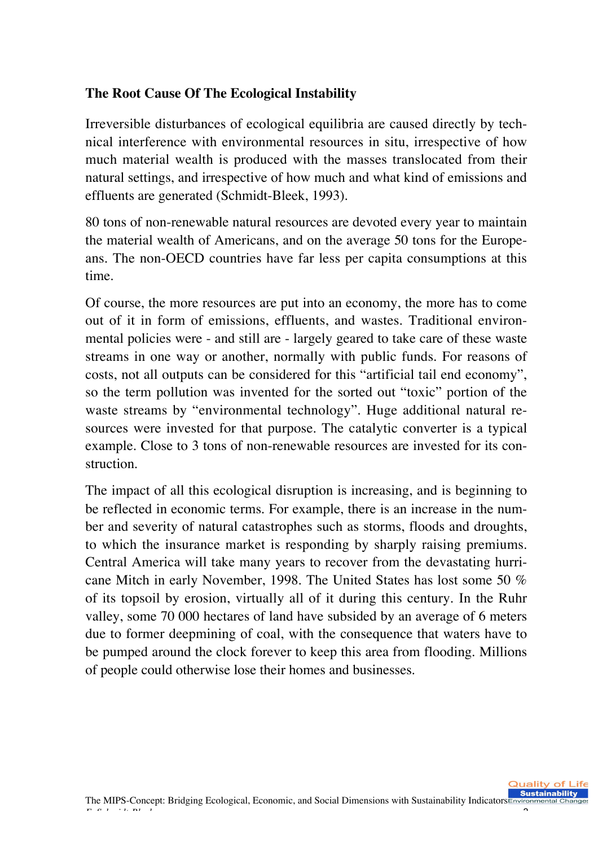## **The Root Cause Of The Ecological Instability**

Irreversible disturbances of ecological equilibria are caused directly by technical interference with environmental resources in situ, irrespective of how much material wealth is produced with the masses translocated from their natural settings, and irrespective of how much and what kind of emissions and effluents are generated (Schmidt-Bleek, 1993).

80 tons of non-renewable natural resources are devoted every year to maintain the material wealth of Americans, and on the average 50 tons for the Europeans. The non-OECD countries have far less per capita consumptions at this time.

Of course, the more resources are put into an economy, the more has to come out of it in form of emissions, effluents, and wastes. Traditional environmental policies were - and still are - largely geared to take care of these waste streams in one way or another, normally with public funds. For reasons of costs, not all outputs can be considered for this "artificial tail end economy", so the term pollution was invented for the sorted out "toxic" portion of the waste streams by "environmental technology". Huge additional natural resources were invested for that purpose. The catalytic converter is a typical example. Close to 3 tons of non-renewable resources are invested for its construction.

The impact of all this ecological disruption is increasing, and is beginning to be reflected in economic terms. For example, there is an increase in the number and severity of natural catastrophes such as storms, floods and droughts, to which the insurance market is responding by sharply raising premiums. Central America will take many years to recover from the devastating hurricane Mitch in early November, 1998. The United States has lost some 50 % of its topsoil by erosion, virtually all of it during this century. In the Ruhr valley, some 70 000 hectares of land have subsided by an average of 6 meters due to former deepmining of coal, with the consequence that waters have to be pumped around the clock forever to keep this area from flooding. Millions of people could otherwise lose their homes and businesses.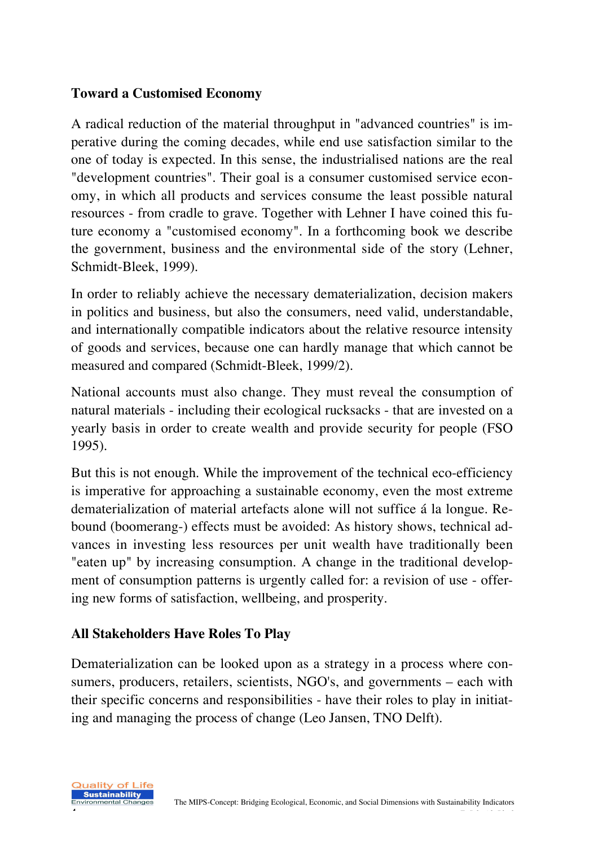### **Toward a Customised Economy**

A radical reduction of the material throughput in "advanced countries" is imperative during the coming decades, while end use satisfaction similar to the one of today is expected. In this sense, the industrialised nations are the real "development countries". Their goal is a consumer customised service economy, in which all products and services consume the least possible natural resources - from cradle to grave. Together with Lehner I have coined this future economy a "customised economy". In a forthcoming book we describe the government, business and the environmental side of the story (Lehner, Schmidt-Bleek, 1999).

In order to reliably achieve the necessary dematerialization, decision makers in politics and business, but also the consumers, need valid, understandable, and internationally compatible indicators about the relative resource intensity of goods and services, because one can hardly manage that which cannot be measured and compared (Schmidt-Bleek, 1999/2).

National accounts must also change. They must reveal the consumption of natural materials - including their ecological rucksacks - that are invested on a yearly basis in order to create wealth and provide security for people (FSO 1995).

But this is not enough. While the improvement of the technical eco-efficiency is imperative for approaching a sustainable economy, even the most extreme dematerialization of material artefacts alone will not suffice á la longue. Rebound (boomerang-) effects must be avoided: As history shows, technical advances in investing less resources per unit wealth have traditionally been "eaten up" by increasing consumption. A change in the traditional development of consumption patterns is urgently called for: a revision of use - offering new forms of satisfaction, wellbeing, and prosperity.

### **All Stakeholders Have Roles To Play**

Dematerialization can be looked upon as a strategy in a process where consumers, producers, retailers, scientists, NGO's, and governments – each with their specific concerns and responsibilities - have their roles to play in initiating and managing the process of change (Leo Jansen, TNO Delft).

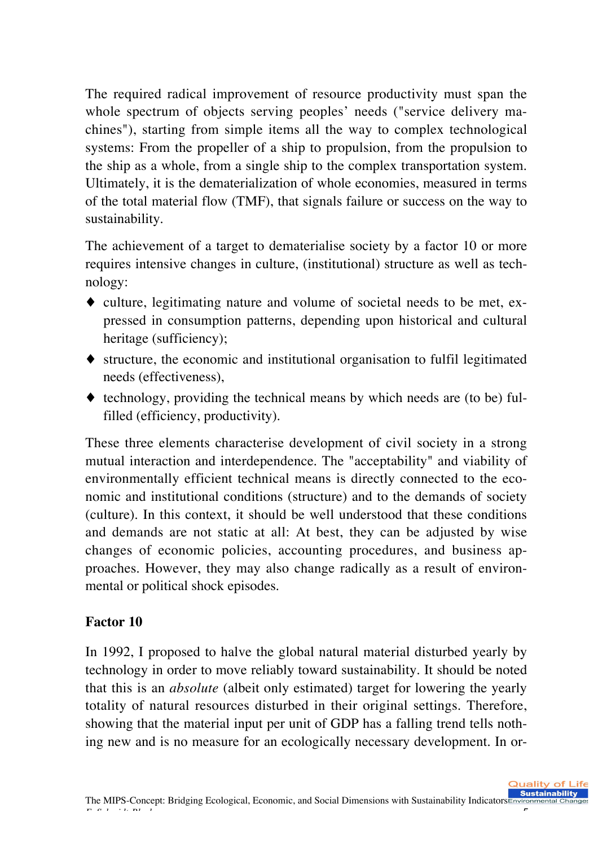The required radical improvement of resource productivity must span the whole spectrum of objects serving peoples' needs ("service delivery machines"), starting from simple items all the way to complex technological systems: From the propeller of a ship to propulsion, from the propulsion to the ship as a whole, from a single ship to the complex transportation system. Ultimately, it is the dematerialization of whole economies, measured in terms of the total material flow (TMF), that signals failure or success on the way to sustainability.

The achievement of a target to dematerialise society by a factor 10 or more requires intensive changes in culture, (institutional) structure as well as technology:

- ♦ culture, legitimating nature and volume of societal needs to be met, expressed in consumption patterns, depending upon historical and cultural heritage (sufficiency);
- ♦ structure, the economic and institutional organisation to fulfil legitimated needs (effectiveness),
- ♦ technology, providing the technical means by which needs are (to be) fulfilled (efficiency, productivity).

These three elements characterise development of civil society in a strong mutual interaction and interdependence. The "acceptability" and viability of environmentally efficient technical means is directly connected to the economic and institutional conditions (structure) and to the demands of society (culture). In this context, it should be well understood that these conditions and demands are not static at all: At best, they can be adjusted by wise changes of economic policies, accounting procedures, and business approaches. However, they may also change radically as a result of environmental or political shock episodes.

## **Factor 10**

In 1992, I proposed to halve the global natural material disturbed yearly by technology in order to move reliably toward sustainability. It should be noted that this is an *absolute* (albeit only estimated) target for lowering the yearly totality of natural resources disturbed in their original settings. Therefore, showing that the material input per unit of GDP has a falling trend tells nothing new and is no measure for an ecologically necessary development. In or-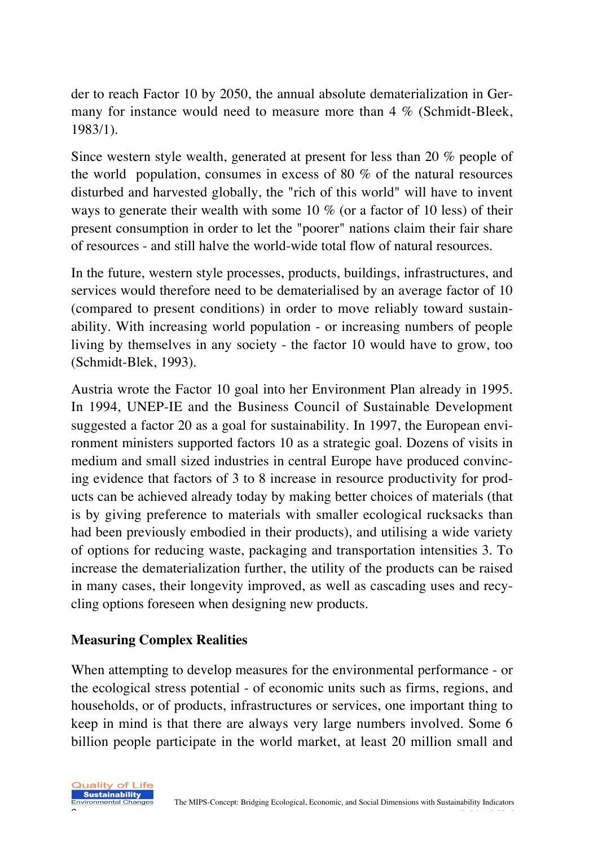der to reach Factor 10 by 2050, the annual absolute dematerialization in Germany for instance would need to measure more than 4 % (Schmidt-Bleek, 1983/1).

Since western style wealth, generated at present for less than 20 % people of the world population, consumes in excess of 80 % of the natural resources disturbed and harvested globally, the "rich of this world" will have to invent ways to generate their wealth with some 10 % (or a factor of 10 less) of their present consumption in order to let the "poorer" nations claim their fair share of resources - and still halve the world-wide total flow of natural resources.

In the future, western style processes, products, buildings, infrastructures, and services would therefore need to be dematerialised by an average factor of 10 (compared to present conditions) in order to move reliably toward sustainability. With increasing world population - or increasing numbers of people living by themselves in any society - the factor 10 would have to grow, too (Schmidt-Blek, 1993).

Austria wrote the Factor 10 goal into her Environment Plan already in 1995. In 1994, UNEP-IE and the Business Council of Sustainable Development suggested a factor 20 as a goal for sustainability. In 1997, the European environment ministers supported factors 10 as a strategic goal. Dozens of visits in medium and small sized industries in central Europe have produced convincing evidence that factors of 3 to 8 increase in resource productivity for products can be achieved already today by making better choices of materials (that is by giving preference to materials with smaller ecological rucksacks than had been previously embodied in their products), and utilising a wide variety of options for reducing waste, packaging and transportation intensities 3. To increase the dematerialization further, the utility of the products can be raised in many cases, their longevity improved, as well as cascading uses and recycling options foreseen when designing new products.

### **Measuring Complex Realities**

When attempting to develop measures for the environmental performance - or the ecological stress potential - of economic units such as firms, regions, and households, or of products, infrastructures or services, one important thing to keep in mind is that there are always very large numbers involved. Some 6 billion people participate in the world market, at least 20 million small and

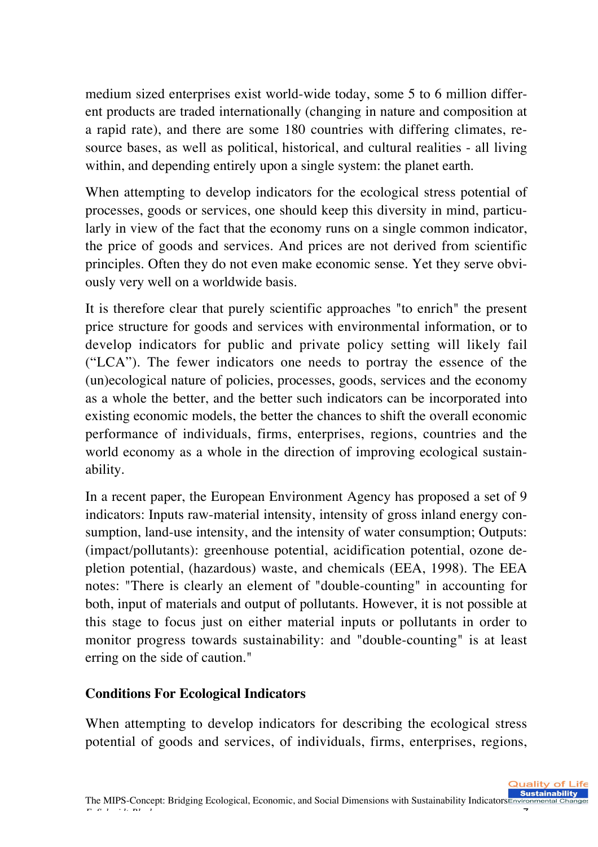medium sized enterprises exist world-wide today, some 5 to 6 million different products are traded internationally (changing in nature and composition at a rapid rate), and there are some 180 countries with differing climates, resource bases, as well as political, historical, and cultural realities - all living within, and depending entirely upon a single system: the planet earth.

When attempting to develop indicators for the ecological stress potential of processes, goods or services, one should keep this diversity in mind, particularly in view of the fact that the economy runs on a single common indicator, the price of goods and services. And prices are not derived from scientific principles. Often they do not even make economic sense. Yet they serve obviously very well on a worldwide basis.

It is therefore clear that purely scientific approaches "to enrich" the present price structure for goods and services with environmental information, or to develop indicators for public and private policy setting will likely fail ("LCA"). The fewer indicators one needs to portray the essence of the (un)ecological nature of policies, processes, goods, services and the economy as a whole the better, and the better such indicators can be incorporated into existing economic models, the better the chances to shift the overall economic performance of individuals, firms, enterprises, regions, countries and the world economy as a whole in the direction of improving ecological sustainability.

In a recent paper, the European Environment Agency has proposed a set of 9 indicators: Inputs raw-material intensity, intensity of gross inland energy consumption, land-use intensity, and the intensity of water consumption; Outputs: (impact/pollutants): greenhouse potential, acidification potential, ozone depletion potential, (hazardous) waste, and chemicals (EEA, 1998). The EEA notes: "There is clearly an element of "double-counting" in accounting for both, input of materials and output of pollutants. However, it is not possible at this stage to focus just on either material inputs or pollutants in order to monitor progress towards sustainability: and "double-counting" is at least erring on the side of caution."

## **Conditions For Ecological Indicators**

When attempting to develop indicators for describing the ecological stress potential of goods and services, of individuals, firms, enterprises, regions,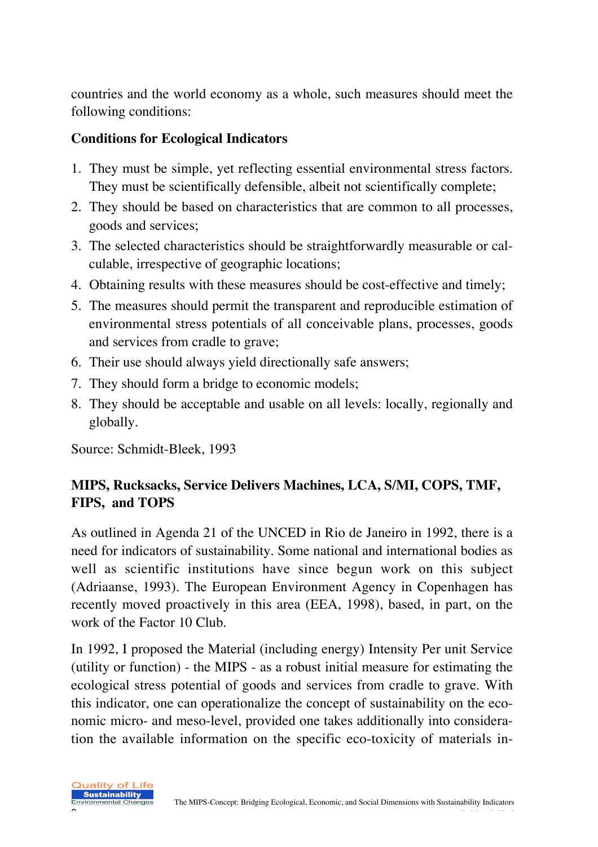countries and the world economy as a whole, such measures should meet the following conditions:

### **Conditions for Ecological Indicators**

- 1. They must be simple, yet reflecting essential environmental stress factors. They must be scientifically defensible, albeit not scientifically complete;
- 2. They should be based on characteristics that are common to all processes, goods and services;
- 3. The selected characteristics should be straightforwardly measurable or calculable, irrespective of geographic locations;
- 4. Obtaining results with these measures should be cost-effective and timely;
- 5. The measures should permit the transparent and reproducible estimation of environmental stress potentials of all conceivable plans, processes, goods and services from cradle to grave;
- 6. Their use should always yield directionally safe answers;
- 7. They should form a bridge to economic models;
- 8. They should be acceptable and usable on all levels: locally, regionally and globally.

Source: Schmidt-Bleek, 1993

# **MIPS, Rucksacks, Service Delivers Machines, LCA, S/MI, COPS, TMF, FIPS, and TOPS**

As outlined in Agenda 21 of the UNCED in Rio de Janeiro in 1992, there is a need for indicators of sustainability. Some national and international bodies as well as scientific institutions have since begun work on this subject (Adriaanse, 1993). The European Environment Agency in Copenhagen has recently moved proactively in this area (EEA, 1998), based, in part, on the work of the Factor 10 Club.

In 1992, I proposed the Material (including energy) Intensity Per unit Service (utility or function) - the MIPS - as a robust initial measure for estimating the ecological stress potential of goods and services from cradle to grave. With this indicator, one can operationalize the concept of sustainability on the economic micro- and meso-level, provided one takes additionally into consideration the available information on the specific eco-toxicity of materials in-

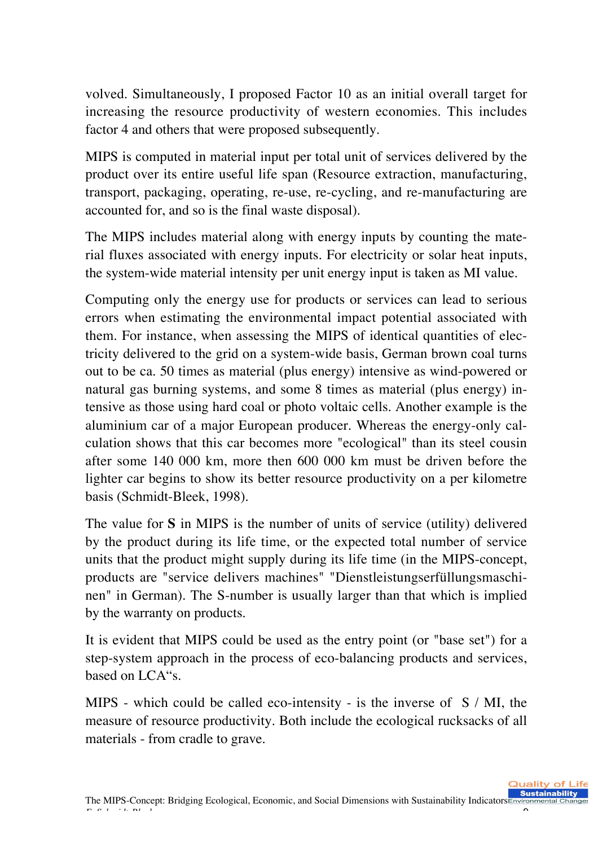volved. Simultaneously, I proposed Factor 10 as an initial overall target for increasing the resource productivity of western economies. This includes factor 4 and others that were proposed subsequently.

MIPS is computed in material input per total unit of services delivered by the product over its entire useful life span (Resource extraction, manufacturing, transport, packaging, operating, re-use, re-cycling, and re-manufacturing are accounted for, and so is the final waste disposal).

The MIPS includes material along with energy inputs by counting the material fluxes associated with energy inputs. For electricity or solar heat inputs, the system-wide material intensity per unit energy input is taken as MI value.

Computing only the energy use for products or services can lead to serious errors when estimating the environmental impact potential associated with them. For instance, when assessing the MIPS of identical quantities of electricity delivered to the grid on a system-wide basis, German brown coal turns out to be ca. 50 times as material (plus energy) intensive as wind-powered or natural gas burning systems, and some 8 times as material (plus energy) intensive as those using hard coal or photo voltaic cells. Another example is the aluminium car of a major European producer. Whereas the energy-only calculation shows that this car becomes more "ecological" than its steel cousin after some 140 000 km, more then 600 000 km must be driven before the lighter car begins to show its better resource productivity on a per kilometre basis (Schmidt-Bleek, 1998).

The value for **S** in MIPS is the number of units of service (utility) delivered by the product during its life time, or the expected total number of service units that the product might supply during its life time (in the MIPS-concept, products are "service delivers machines" "Dienstleistungserfüllungsmaschinen" in German). The S-number is usually larger than that which is implied by the warranty on products.

It is evident that MIPS could be used as the entry point (or "base set") for a step-system approach in the process of eco-balancing products and services, based on LCA"s.

MIPS - which could be called eco-intensity - is the inverse of  $S / MI$ , the measure of resource productivity. Both include the ecological rucksacks of all materials - from cradle to grave.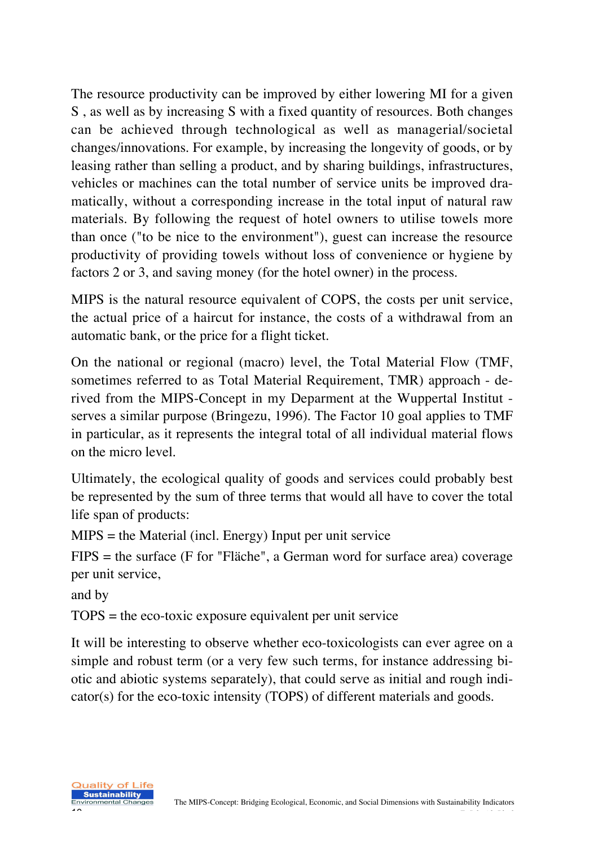The resource productivity can be improved by either lowering MI for a given S , as well as by increasing S with a fixed quantity of resources. Both changes can be achieved through technological as well as managerial/societal changes/innovations. For example, by increasing the longevity of goods, or by leasing rather than selling a product, and by sharing buildings, infrastructures, vehicles or machines can the total number of service units be improved dramatically, without a corresponding increase in the total input of natural raw materials. By following the request of hotel owners to utilise towels more than once ("to be nice to the environment"), guest can increase the resource productivity of providing towels without loss of convenience or hygiene by factors 2 or 3, and saving money (for the hotel owner) in the process.

MIPS is the natural resource equivalent of COPS, the costs per unit service, the actual price of a haircut for instance, the costs of a withdrawal from an automatic bank, or the price for a flight ticket.

On the national or regional (macro) level, the Total Material Flow (TMF, sometimes referred to as Total Material Requirement, TMR) approach - derived from the MIPS-Concept in my Deparment at the Wuppertal Institut serves a similar purpose (Bringezu, 1996). The Factor 10 goal applies to TMF in particular, as it represents the integral total of all individual material flows on the micro level.

Ultimately, the ecological quality of goods and services could probably best be represented by the sum of three terms that would all have to cover the total life span of products:

MIPS = the Material (incl. Energy) Input per unit service

FIPS = the surface (F for "Fläche", a German word for surface area) coverage per unit service,

and by

TOPS = the eco-toxic exposure equivalent per unit service

It will be interesting to observe whether eco-toxicologists can ever agree on a simple and robust term (or a very few such terms, for instance addressing biotic and abiotic systems separately), that could serve as initial and rough indicator(s) for the eco-toxic intensity (TOPS) of different materials and goods.

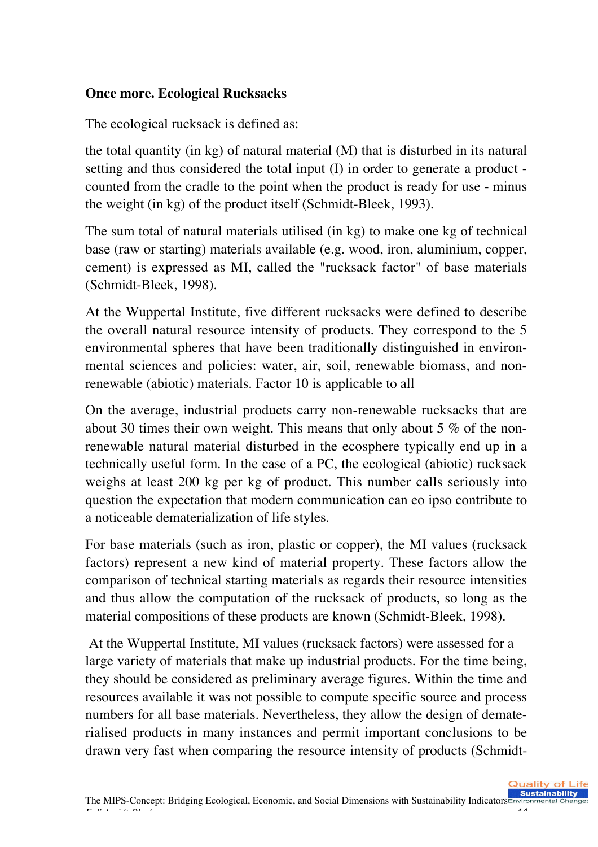### **Once more. Ecological Rucksacks**

The ecological rucksack is defined as:

the total quantity (in kg) of natural material (M) that is disturbed in its natural setting and thus considered the total input (I) in order to generate a product counted from the cradle to the point when the product is ready for use - minus the weight (in kg) of the product itself (Schmidt-Bleek, 1993).

The sum total of natural materials utilised (in kg) to make one kg of technical base (raw or starting) materials available (e.g. wood, iron, aluminium, copper, cement) is expressed as MI, called the "rucksack factor" of base materials (Schmidt-Bleek, 1998).

At the Wuppertal Institute, five different rucksacks were defined to describe the overall natural resource intensity of products. They correspond to the 5 environmental spheres that have been traditionally distinguished in environmental sciences and policies: water, air, soil, renewable biomass, and nonrenewable (abiotic) materials. Factor 10 is applicable to all

On the average, industrial products carry non-renewable rucksacks that are about 30 times their own weight. This means that only about 5 % of the nonrenewable natural material disturbed in the ecosphere typically end up in a technically useful form. In the case of a PC, the ecological (abiotic) rucksack weighs at least 200 kg per kg of product. This number calls seriously into question the expectation that modern communication can eo ipso contribute to a noticeable dematerialization of life styles.

For base materials (such as iron, plastic or copper), the MI values (rucksack factors) represent a new kind of material property. These factors allow the comparison of technical starting materials as regards their resource intensities and thus allow the computation of the rucksack of products, so long as the material compositions of these products are known (Schmidt-Bleek, 1998).

 At the Wuppertal Institute, MI values (rucksack factors) were assessed for a large variety of materials that make up industrial products. For the time being, they should be considered as preliminary average figures. Within the time and resources available it was not possible to compute specific source and process numbers for all base materials. Nevertheless, they allow the design of dematerialised products in many instances and permit important conclusions to be drawn very fast when comparing the resource intensity of products (Schmidt-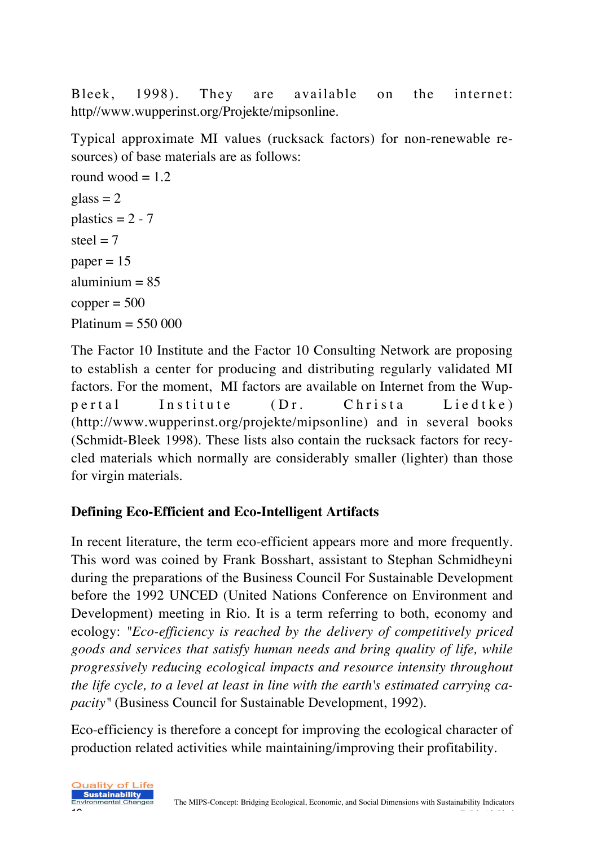Bleek, 1998). They are available on the internet: http//www.wupperinst.org/Projekte/mipsonline.

Typical approximate MI values (rucksack factors) for non-renewable resources) of base materials are as follows:

```
round wood = 1.2glass = 2plastics = 2 - 7steel = 7paper = 15aluminium = 85
copper = 500Platinum = 550 000
```
The Factor 10 Institute and the Factor 10 Consulting Network are proposing to establish a center for producing and distributing regularly validated MI factors. For the moment, MI factors are available on Internet from the Wuppertal Institute (Dr. Christa Liedtke) (http://www.wupperinst.org/projekte/mipsonline) and in several books (Schmidt-Bleek 1998). These lists also contain the rucksack factors for recycled materials which normally are considerably smaller (lighter) than those for virgin materials.

# **Defining Eco-Efficient and Eco-Intelligent Artifacts**

In recent literature, the term eco-efficient appears more and more frequently. This word was coined by Frank Bosshart, assistant to Stephan Schmidheyni during the preparations of the Business Council For Sustainable Development before the 1992 UNCED (United Nations Conference on Environment and Development) meeting in Rio. It is a term referring to both, economy and ecology: *"Eco-efficiency is reached by the delivery of competitively priced goods and services that satisfy human needs and bring quality of life, while progressively reducing ecological impacts and resource intensity throughout the life cycle, to a level at least in line with the earth's estimated carrying capacity"* (Business Council for Sustainable Development, 1992).

Eco-efficiency is therefore a concept for improving the ecological character of production related activities while maintaining/improving their profitability.

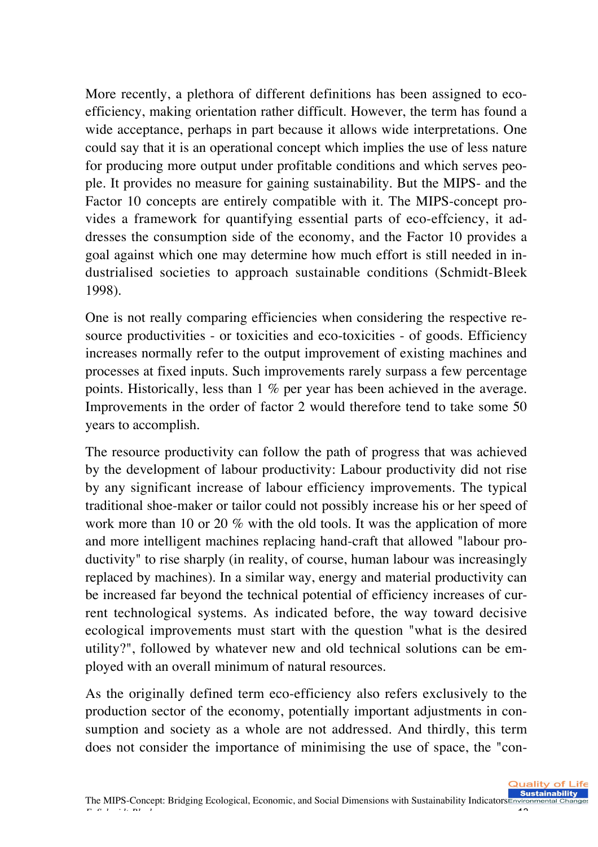More recently, a plethora of different definitions has been assigned to ecoefficiency, making orientation rather difficult. However, the term has found a wide acceptance, perhaps in part because it allows wide interpretations. One could say that it is an operational concept which implies the use of less nature for producing more output under profitable conditions and which serves people. It provides no measure for gaining sustainability. But the MIPS- and the Factor 10 concepts are entirely compatible with it. The MIPS-concept provides a framework for quantifying essential parts of eco-effciency, it addresses the consumption side of the economy, and the Factor 10 provides a goal against which one may determine how much effort is still needed in industrialised societies to approach sustainable conditions (Schmidt-Bleek 1998).

One is not really comparing efficiencies when considering the respective resource productivities - or toxicities and eco-toxicities - of goods. Efficiency increases normally refer to the output improvement of existing machines and processes at fixed inputs. Such improvements rarely surpass a few percentage points. Historically, less than 1 % per year has been achieved in the average. Improvements in the order of factor 2 would therefore tend to take some 50 years to accomplish.

The resource productivity can follow the path of progress that was achieved by the development of labour productivity: Labour productivity did not rise by any significant increase of labour efficiency improvements. The typical traditional shoe-maker or tailor could not possibly increase his or her speed of work more than 10 or 20 % with the old tools. It was the application of more and more intelligent machines replacing hand-craft that allowed "labour productivity" to rise sharply (in reality, of course, human labour was increasingly replaced by machines). In a similar way, energy and material productivity can be increased far beyond the technical potential of efficiency increases of current technological systems. As indicated before, the way toward decisive ecological improvements must start with the question "what is the desired utility?", followed by whatever new and old technical solutions can be employed with an overall minimum of natural resources.

As the originally defined term eco-efficiency also refers exclusively to the production sector of the economy, potentially important adjustments in consumption and society as a whole are not addressed. And thirdly, this term does not consider the importance of minimising the use of space, the "con-

Quality of Life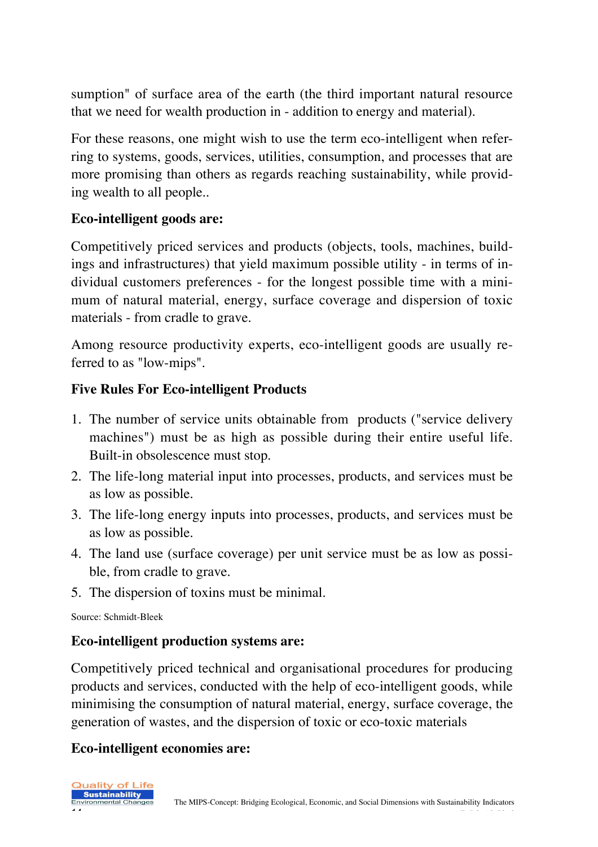sumption" of surface area of the earth (the third important natural resource that we need for wealth production in - addition to energy and material).

For these reasons, one might wish to use the term eco-intelligent when referring to systems, goods, services, utilities, consumption, and processes that are more promising than others as regards reaching sustainability, while providing wealth to all people..

### **Eco-intelligent goods are:**

Competitively priced services and products (objects, tools, machines, buildings and infrastructures) that yield maximum possible utility - in terms of individual customers preferences - for the longest possible time with a minimum of natural material, energy, surface coverage and dispersion of toxic materials - from cradle to grave.

Among resource productivity experts, eco-intelligent goods are usually referred to as "low-mips".

### **Five Rules For Eco-intelligent Products**

- 1. The number of service units obtainable from products ("service delivery machines") must be as high as possible during their entire useful life. Built-in obsolescence must stop.
- 2. The life-long material input into processes, products, and services must be as low as possible.
- 3. The life-long energy inputs into processes, products, and services must be as low as possible.
- 4. The land use (surface coverage) per unit service must be as low as possible, from cradle to grave.
- 5. The dispersion of toxins must be minimal.

Source: Schmidt-Bleek

### **Eco-intelligent production systems are:**

Competitively priced technical and organisational procedures for producing products and services, conducted with the help of eco-intelligent goods, while minimising the consumption of natural material, energy, surface coverage, the generation of wastes, and the dispersion of toxic or eco-toxic materials

### **Eco-intelligent economies are:**

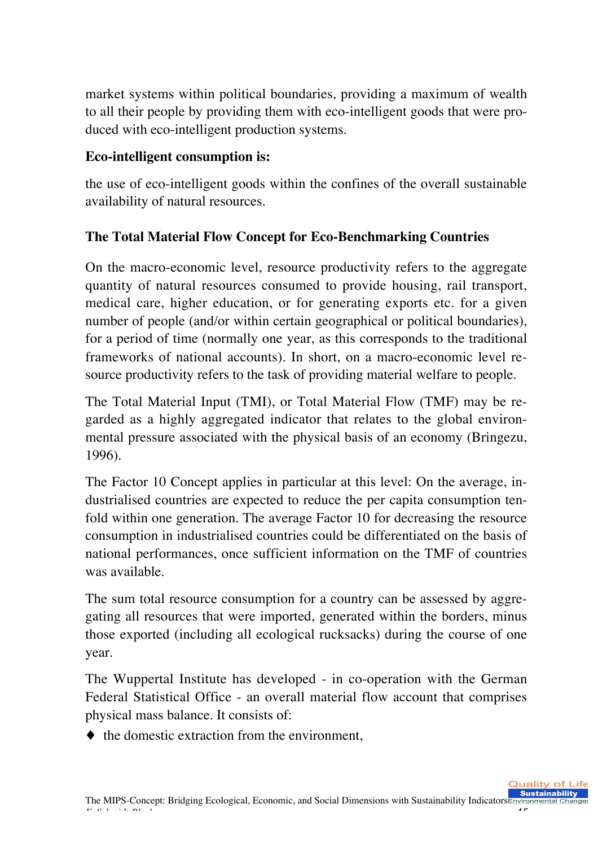market systems within political boundaries, providing a maximum of wealth to all their people by providing them with eco-intelligent goods that were produced with eco-intelligent production systems.

## **Eco-intelligent consumption is:**

the use of eco-intelligent goods within the confines of the overall sustainable availability of natural resources.

# **The Total Material Flow Concept for Eco-Benchmarking Countries**

On the macro-economic level, resource productivity refers to the aggregate quantity of natural resources consumed to provide housing, rail transport, medical care, higher education, or for generating exports etc. for a given number of people (and/or within certain geographical or political boundaries), for a period of time (normally one year, as this corresponds to the traditional frameworks of national accounts). In short, on a macro-economic level resource productivity refers to the task of providing material welfare to people.

The Total Material Input (TMI), or Total Material Flow (TMF) may be regarded as a highly aggregated indicator that relates to the global environmental pressure associated with the physical basis of an economy (Bringezu, 1996).

The Factor 10 Concept applies in particular at this level: On the average, industrialised countries are expected to reduce the per capita consumption tenfold within one generation. The average Factor 10 for decreasing the resource consumption in industrialised countries could be differentiated on the basis of national performances, once sufficient information on the TMF of countries was available.

The sum total resource consumption for a country can be assessed by aggregating all resources that were imported, generated within the borders, minus those exported (including all ecological rucksacks) during the course of one year.

The Wuppertal Institute has developed - in co-operation with the German Federal Statistical Office - an overall material flow account that comprises physical mass balance. It consists of:

 $\blacklozenge$  the domestic extraction from the environment.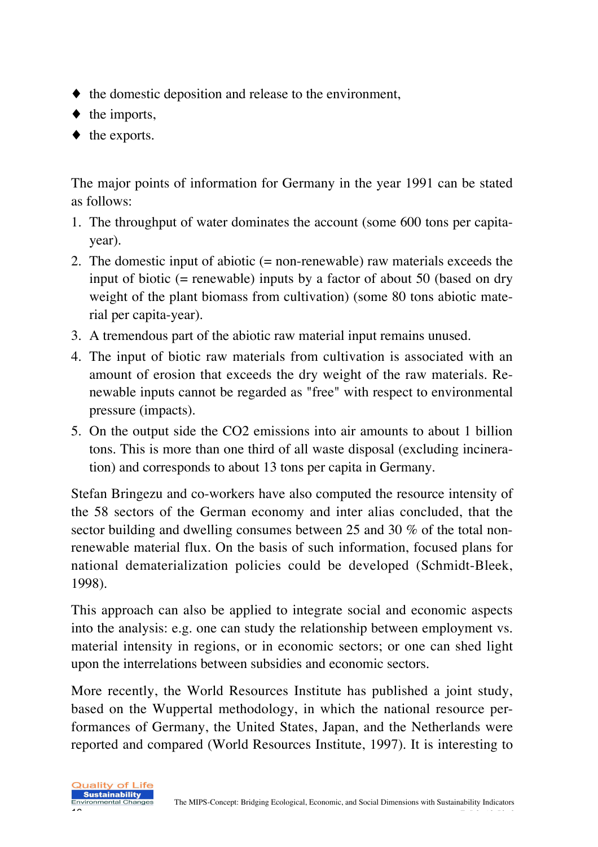- ♦ the domestic deposition and release to the environment,
- $\blacklozenge$  the imports,
- ♦ the exports.

The major points of information for Germany in the year 1991 can be stated as follows:

- 1. The throughput of water dominates the account (some 600 tons per capitayear).
- 2. The domestic input of abiotic (= non-renewable) raw materials exceeds the input of biotic (= renewable) inputs by a factor of about 50 (based on dry weight of the plant biomass from cultivation) (some 80 tons abiotic material per capita-year).
- 3. A tremendous part of the abiotic raw material input remains unused.
- 4. The input of biotic raw materials from cultivation is associated with an amount of erosion that exceeds the dry weight of the raw materials. Renewable inputs cannot be regarded as "free" with respect to environmental pressure (impacts).
- 5. On the output side the CO2 emissions into air amounts to about 1 billion tons. This is more than one third of all waste disposal (excluding incineration) and corresponds to about 13 tons per capita in Germany.

Stefan Bringezu and co-workers have also computed the resource intensity of the 58 sectors of the German economy and inter alias concluded, that the sector building and dwelling consumes between 25 and 30 % of the total nonrenewable material flux. On the basis of such information, focused plans for national dematerialization policies could be developed (Schmidt-Bleek, 1998).

This approach can also be applied to integrate social and economic aspects into the analysis: e.g. one can study the relationship between employment vs. material intensity in regions, or in economic sectors; or one can shed light upon the interrelations between subsidies and economic sectors.

More recently, the World Resources Institute has published a joint study, based on the Wuppertal methodology, in which the national resource performances of Germany, the United States, Japan, and the Netherlands were reported and compared (World Resources Institute, 1997). It is interesting to

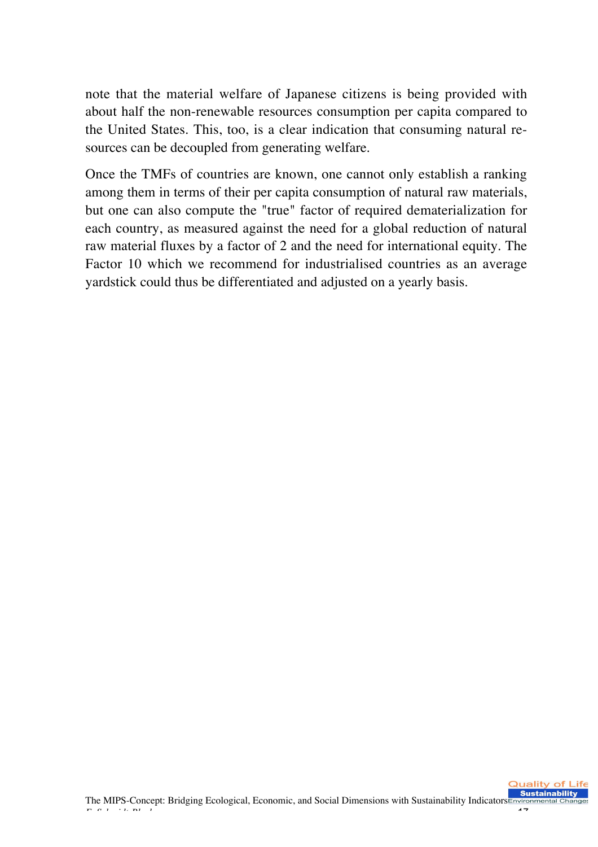note that the material welfare of Japanese citizens is being provided with about half the non-renewable resources consumption per capita compared to the United States. This, too, is a clear indication that consuming natural resources can be decoupled from generating welfare.

Once the TMFs of countries are known, one cannot only establish a ranking among them in terms of their per capita consumption of natural raw materials, but one can also compute the "true" factor of required dematerialization for each country, as measured against the need for a global reduction of natural raw material fluxes by a factor of 2 and the need for international equity. The Factor 10 which we recommend for industrialised countries as an average yardstick could thus be differentiated and adjusted on a yearly basis.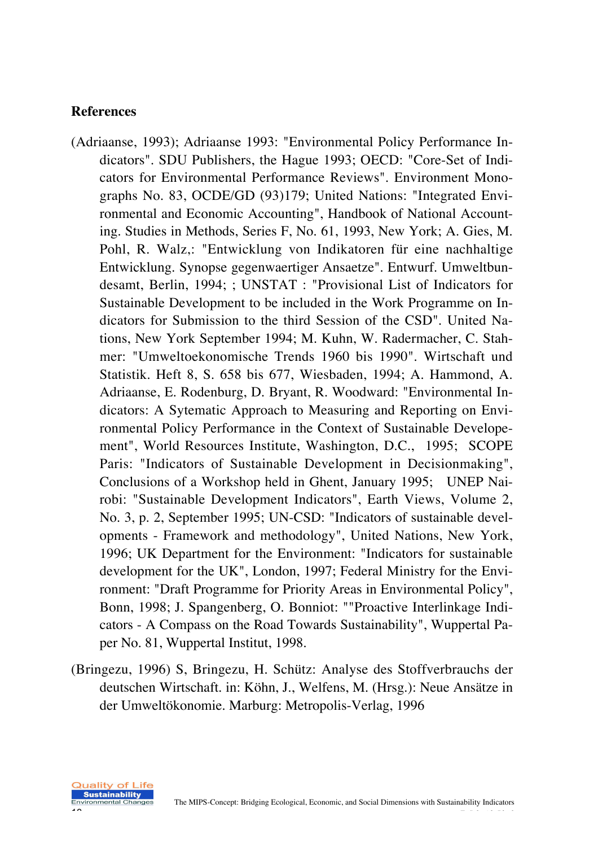#### **References**

- (Adriaanse, 1993); Adriaanse 1993: "Environmental Policy Performance Indicators". SDU Publishers, the Hague 1993; OECD: "Core-Set of Indicators for Environmental Performance Reviews". Environment Monographs No. 83, OCDE/GD (93)179; United Nations: "Integrated Environmental and Economic Accounting", Handbook of National Accounting. Studies in Methods, Series F, No. 61, 1993, New York; A. Gies, M. Pohl, R. Walz,: "Entwicklung von Indikatoren für eine nachhaltige Entwicklung. Synopse gegenwaertiger Ansaetze". Entwurf. Umweltbundesamt, Berlin, 1994; ; UNSTAT : "Provisional List of Indicators for Sustainable Development to be included in the Work Programme on Indicators for Submission to the third Session of the CSD". United Nations, New York September 1994; M. Kuhn, W. Radermacher, C. Stahmer: "Umweltoekonomische Trends 1960 bis 1990". Wirtschaft und Statistik. Heft 8, S. 658 bis 677, Wiesbaden, 1994; A. Hammond, A. Adriaanse, E. Rodenburg, D. Bryant, R. Woodward: "Environmental Indicators: A Sytematic Approach to Measuring and Reporting on Environmental Policy Performance in the Context of Sustainable Developement", World Resources Institute, Washington, D.C., 1995; SCOPE Paris: "Indicators of Sustainable Development in Decisionmaking", Conclusions of a Workshop held in Ghent, January 1995; UNEP Nairobi: "Sustainable Development Indicators", Earth Views, Volume 2, No. 3, p. 2, September 1995; UN-CSD: "Indicators of sustainable developments - Framework and methodology", United Nations, New York, 1996; UK Department for the Environment: "Indicators for sustainable development for the UK", London, 1997; Federal Ministry for the Environment: "Draft Programme for Priority Areas in Environmental Policy", Bonn, 1998; J. Spangenberg, O. Bonniot: ""Proactive Interlinkage Indicators - A Compass on the Road Towards Sustainability", Wuppertal Paper No. 81, Wuppertal Institut, 1998.
- (Bringezu, 1996) S, Bringezu, H. Schütz: Analyse des Stoffverbrauchs der deutschen Wirtschaft. in: Köhn, J., Welfens, M. (Hrsg.): Neue Ansätze in der Umweltökonomie. Marburg: Metropolis-Verlag, 1996

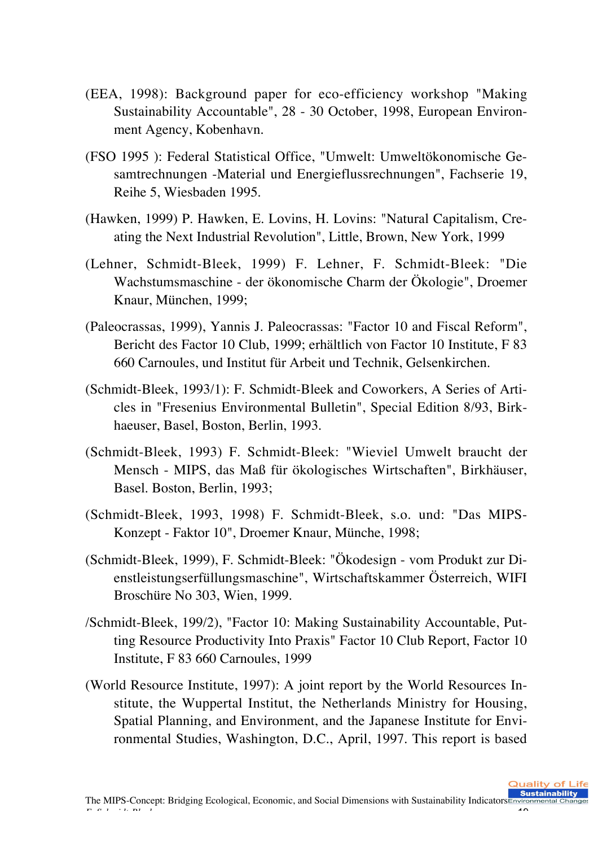- (EEA, 1998): Background paper for eco-efficiency workshop "Making Sustainability Accountable", 28 - 30 October, 1998, European Environment Agency, Kobenhavn.
- (FSO 1995 ): Federal Statistical Office, "Umwelt: Umweltökonomische Gesamtrechnungen -Material und Energieflussrechnungen", Fachserie 19, Reihe 5, Wiesbaden 1995.
- (Hawken, 1999) P. Hawken, E. Lovins, H. Lovins: "Natural Capitalism, Creating the Next Industrial Revolution", Little, Brown, New York, 1999
- (Lehner, Schmidt-Bleek, 1999) F. Lehner, F. Schmidt-Bleek: "Die Wachstumsmaschine - der ökonomische Charm der Ökologie", Droemer Knaur, München, 1999;
- (Paleocrassas, 1999), Yannis J. Paleocrassas: "Factor 10 and Fiscal Reform", Bericht des Factor 10 Club, 1999; erhältlich von Factor 10 Institute, F 83 660 Carnoules, und Institut für Arbeit und Technik, Gelsenkirchen.
- (Schmidt-Bleek, 1993/1): F. Schmidt-Bleek and Coworkers, A Series of Articles in "Fresenius Environmental Bulletin", Special Edition 8/93, Birkhaeuser, Basel, Boston, Berlin, 1993.
- (Schmidt-Bleek, 1993) F. Schmidt-Bleek: "Wieviel Umwelt braucht der Mensch - MIPS, das Maß für ökologisches Wirtschaften", Birkhäuser, Basel. Boston, Berlin, 1993;
- (Schmidt-Bleek, 1993, 1998) F. Schmidt-Bleek, s.o. und: "Das MIPS-Konzept - Faktor 10", Droemer Knaur, Münche, 1998;
- (Schmidt-Bleek, 1999), F. Schmidt-Bleek: "Ökodesign vom Produkt zur Dienstleistungserfüllungsmaschine", Wirtschaftskammer Österreich, WIFI Broschüre No 303, Wien, 1999.
- /Schmidt-Bleek, 199/2), "Factor 10: Making Sustainability Accountable, Putting Resource Productivity Into Praxis" Factor 10 Club Report, Factor 10 Institute, F 83 660 Carnoules, 1999
- (World Resource Institute, 1997): A joint report by the World Resources Institute, the Wuppertal Institut, the Netherlands Ministry for Housing, Spatial Planning, and Environment, and the Japanese Institute for Environmental Studies, Washington, D.C., April, 1997. This report is based